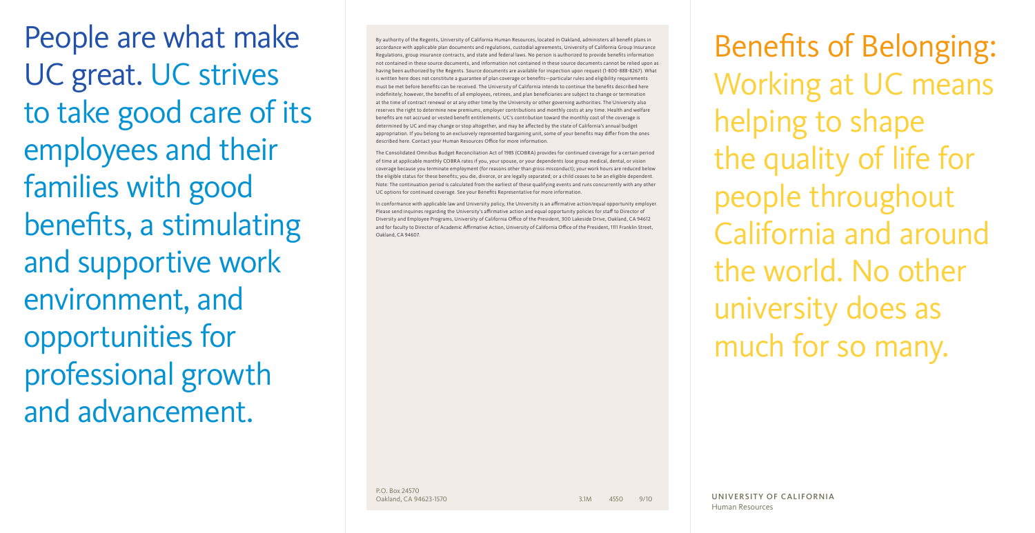People are what make UC great. UC strives to take good care of its employees and their families with good benefits, a stimulating and supportive work environment, and opportunities for professional growth and advancement.

By authority of the Regents, University of California Human Resources, located in Oakland, administers all benefit plans in accordance with applicable plan documents and regulations, custodial agreements, University of California Group Insurance Regulations, group insurance contracts, and state and federal laws. No person is authorized to provide benefits information not contained in these source documents, and information not contained in these source documents cannot be relied upon as having been authorized by the Regents. Source documents are available for inspection upon request (1-800-888-8267). What is written here does not constitute a guarantee of plan coverage or benefits—particular rules and eligibility requirements must be met before benefits can be received. The University of California intends to continue the benefits described here indefinitely; however, the benefits of all employees, retirees, and plan beneficiaries are subject to change or termination at the time of contract renewal or at any other time by the University or other governing authorities. The University also reserves the right to determine new premiums, employer contributions and monthly costs at any time. Health and welfare benefits are not accrued or vested benefit entitlements. UC's contribution toward the monthly cost of the coverage is determined by UC and may change or stop altogether, and may be affected by the state of California's annual budget appropriation. If you belong to an exclusively represented bargaining unit, some of your benefits may differ from the ones described here. Contact your Human Resources Office for more information.

The Consolidated Omnibus Budget Reconciliation Act of 1985 (COBRA) provides for continued coverage for a certain period of time at applicable monthly COBRA rates if you, your spouse, or your dependents lose group medical, dental, or vision coverage because you terminate employment (for reasons other than gross misconduct); your work hours are reduced below the eligible status for these benefits; you die, divorce, or are legally separated; or a child ceases to be an eligible dependent. Note: The continuation period is calculated from the earliest of these qualifying events and runs concurrently with any other UC options for continued coverage. See your Benefits Representative for more information.

In conformance with applicable law and University policy, the University is an affirmative action/equal opportunity employer. Please send inquiries regarding the University's affirmative action and equal opportunity policies for staff to Director of Diversity and Employee Programs, University of California Office of the President, 300 Lakeside Drive, Oakland, CA 94612 and for faculty to Director of Academic Affirmative Action, University of California Office of the President, 1111 Franklin Street, Oakland, CA 94607.

Benefits of Belonging: Working at UC means helping to shape the quality of life for people throughout California and around the world. No other university does as much for so many.